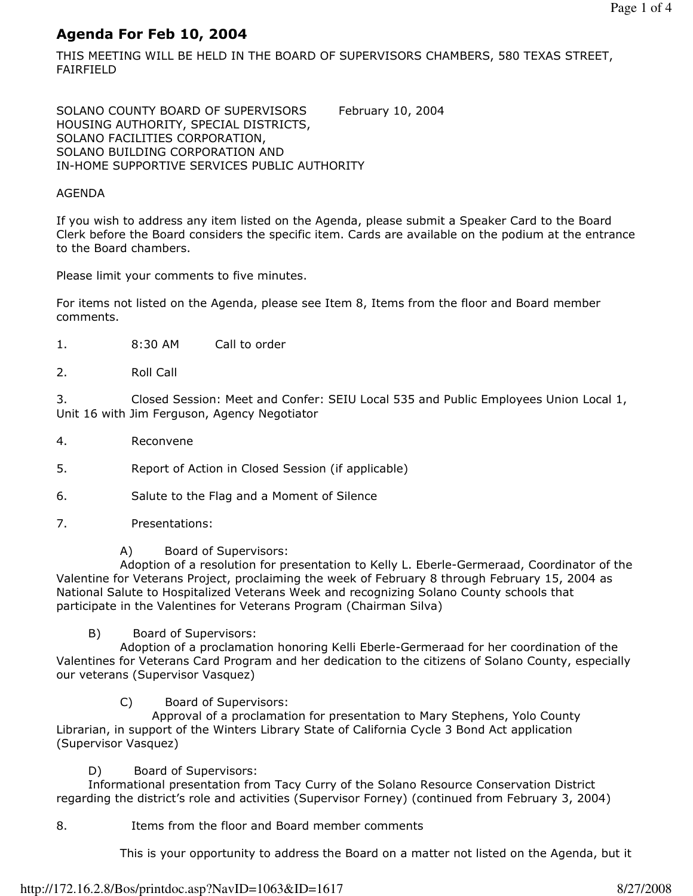# Agenda For Feb 10, 2004

THIS MEETING WILL BE HELD IN THE BOARD OF SUPERVISORS CHAMBERS, 580 TEXAS STREET, FAIRFIELD

SOLANO COUNTY BOARD OF SUPERVISORS February 10, 2004 HOUSING AUTHORITY, SPECIAL DISTRICTS, SOLANO FACILITIES CORPORATION, SOLANO BUILDING CORPORATION AND IN-HOME SUPPORTIVE SERVICES PUBLIC AUTHORITY

#### AGENDA

If you wish to address any item listed on the Agenda, please submit a Speaker Card to the Board Clerk before the Board considers the specific item. Cards are available on the podium at the entrance to the Board chambers.

Please limit your comments to five minutes.

For items not listed on the Agenda, please see Item 8, Items from the floor and Board member comments.

- 1. 8:30 AM Call to order
- 2. Roll Call

3. Closed Session: Meet and Confer: SEIU Local 535 and Public Employees Union Local 1, Unit 16 with Jim Ferguson, Agency Negotiator

4. Reconvene

5. Report of Action in Closed Session (if applicable)

- 6. Salute to the Flag and a Moment of Silence
- 7. Presentations:
	- A) Board of Supervisors:

 Adoption of a resolution for presentation to Kelly L. Eberle-Germeraad, Coordinator of the Valentine for Veterans Project, proclaiming the week of February 8 through February 15, 2004 as National Salute to Hospitalized Veterans Week and recognizing Solano County schools that participate in the Valentines for Veterans Program (Chairman Silva)

B) Board of Supervisors:

 Adoption of a proclamation honoring Kelli Eberle-Germeraad for her coordination of the Valentines for Veterans Card Program and her dedication to the citizens of Solano County, especially our veterans (Supervisor Vasquez)

C) Board of Supervisors:

 Approval of a proclamation for presentation to Mary Stephens, Yolo County Librarian, in support of the Winters Library State of California Cycle 3 Bond Act application (Supervisor Vasquez)

D) Board of Supervisors:

 Informational presentation from Tacy Curry of the Solano Resource Conservation District regarding the district's role and activities (Supervisor Forney) (continued from February 3, 2004)

8. Items from the floor and Board member comments

This is your opportunity to address the Board on a matter not listed on the Agenda, but it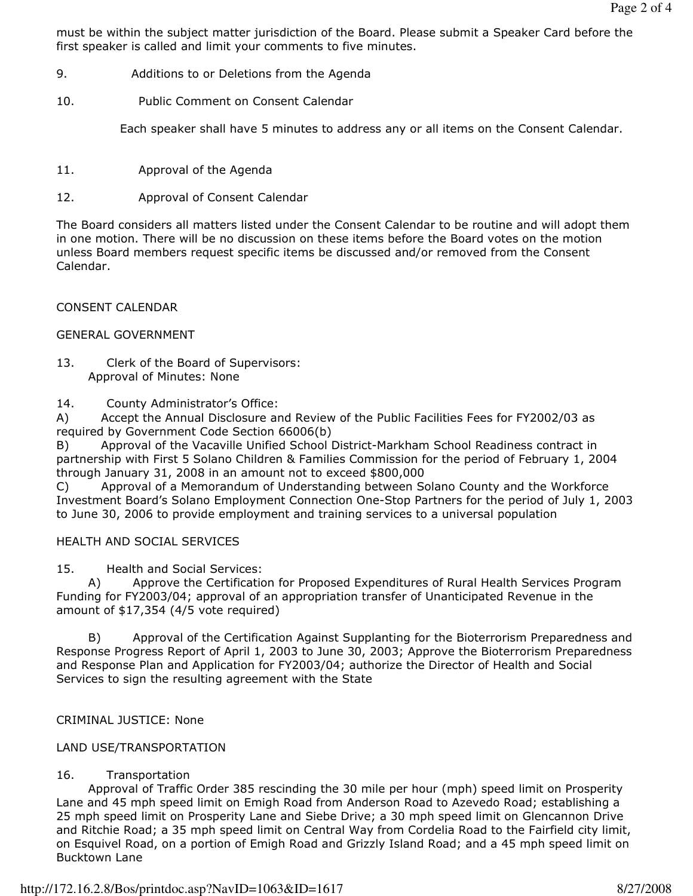must be within the subject matter jurisdiction of the Board. Please submit a Speaker Card before the first speaker is called and limit your comments to five minutes.

- 9. Additions to or Deletions from the Agenda
- 10. Public Comment on Consent Calendar

Each speaker shall have 5 minutes to address any or all items on the Consent Calendar.

- 11. Approval of the Agenda
- 12. Approval of Consent Calendar

The Board considers all matters listed under the Consent Calendar to be routine and will adopt them in one motion. There will be no discussion on these items before the Board votes on the motion unless Board members request specific items be discussed and/or removed from the Consent Calendar.

### CONSENT CALENDAR

### GENERAL GOVERNMENT

13. Clerk of the Board of Supervisors: Approval of Minutes: None

14. County Administrator's Office:

A) Accept the Annual Disclosure and Review of the Public Facilities Fees for FY2002/03 as required by Government Code Section 66006(b)

Approval of the Vacaville Unified School District-Markham School Readiness contract in partnership with First 5 Solano Children & Families Commission for the period of February 1, 2004 through January 31, 2008 in an amount not to exceed \$800,000

C) Approval of a Memorandum of Understanding between Solano County and the Workforce Investment Board's Solano Employment Connection One-Stop Partners for the period of July 1, 2003 to June 30, 2006 to provide employment and training services to a universal population

## HEALTH AND SOCIAL SERVICES

15. Health and Social Services:

 A) Approve the Certification for Proposed Expenditures of Rural Health Services Program Funding for FY2003/04; approval of an appropriation transfer of Unanticipated Revenue in the amount of \$17,354 (4/5 vote required)

 B) Approval of the Certification Against Supplanting for the Bioterrorism Preparedness and Response Progress Report of April 1, 2003 to June 30, 2003; Approve the Bioterrorism Preparedness and Response Plan and Application for FY2003/04; authorize the Director of Health and Social Services to sign the resulting agreement with the State

## CRIMINAL JUSTICE: None

### LAND USE/TRANSPORTATION

## 16. Transportation

 Approval of Traffic Order 385 rescinding the 30 mile per hour (mph) speed limit on Prosperity Lane and 45 mph speed limit on Emigh Road from Anderson Road to Azevedo Road; establishing a 25 mph speed limit on Prosperity Lane and Siebe Drive; a 30 mph speed limit on Glencannon Drive and Ritchie Road; a 35 mph speed limit on Central Way from Cordelia Road to the Fairfield city limit, on Esquivel Road, on a portion of Emigh Road and Grizzly Island Road; and a 45 mph speed limit on Bucktown Lane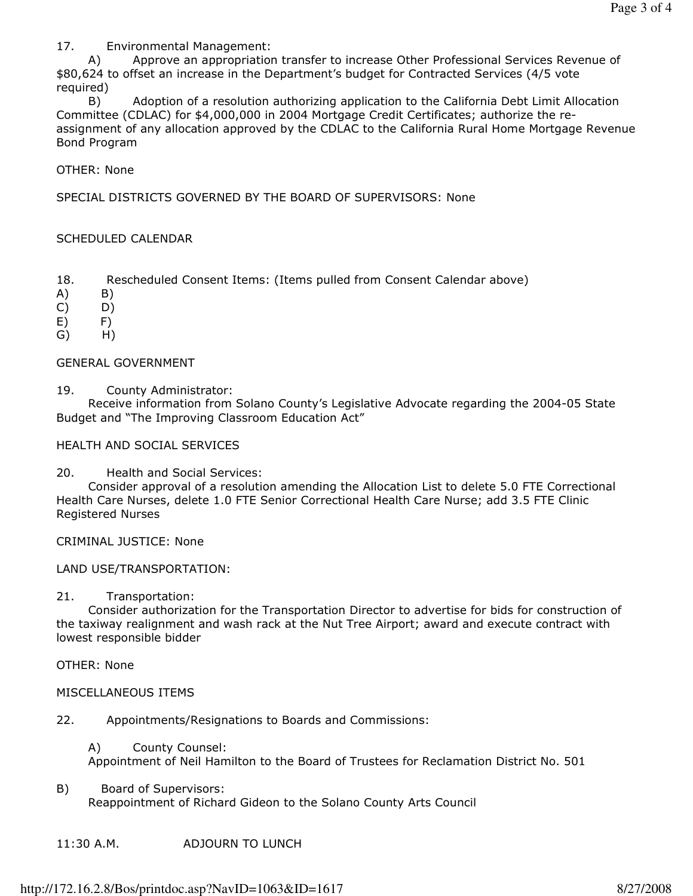17. Environmental Management:

 A) Approve an appropriation transfer to increase Other Professional Services Revenue of \$80,624 to offset an increase in the Department's budget for Contracted Services (4/5 vote required)

 B) Adoption of a resolution authorizing application to the California Debt Limit Allocation Committee (CDLAC) for \$4,000,000 in 2004 Mortgage Credit Certificates; authorize the reassignment of any allocation approved by the CDLAC to the California Rural Home Mortgage Revenue Bond Program

OTHER: None

SPECIAL DISTRICTS GOVERNED BY THE BOARD OF SUPERVISORS: None

### SCHEDULED CALENDAR

- 18. Rescheduled Consent Items: (Items pulled from Consent Calendar above)
- $(A)$   $B)$
- C) D)
- E) F)
- G) H)

### GENERAL GOVERNMENT

19. County Administrator:

 Receive information from Solano County's Legislative Advocate regarding the 2004-05 State Budget and "The Improving Classroom Education Act"

#### HEALTH AND SOCIAL SERVICES

20. Health and Social Services:

 Consider approval of a resolution amending the Allocation List to delete 5.0 FTE Correctional Health Care Nurses, delete 1.0 FTE Senior Correctional Health Care Nurse; add 3.5 FTE Clinic Registered Nurses

CRIMINAL JUSTICE: None

#### LAND USE/TRANSPORTATION:

#### 21. Transportation:

 Consider authorization for the Transportation Director to advertise for bids for construction of the taxiway realignment and wash rack at the Nut Tree Airport; award and execute contract with lowest responsible bidder

OTHER: None

#### MISCELLANEOUS ITEMS

22. Appointments/Resignations to Boards and Commissions:

 A) County Counsel: Appointment of Neil Hamilton to the Board of Trustees for Reclamation District No. 501

- B) Board of Supervisors: Reappointment of Richard Gideon to the Solano County Arts Council
- 11:30 A.M. ADJOURN TO LUNCH